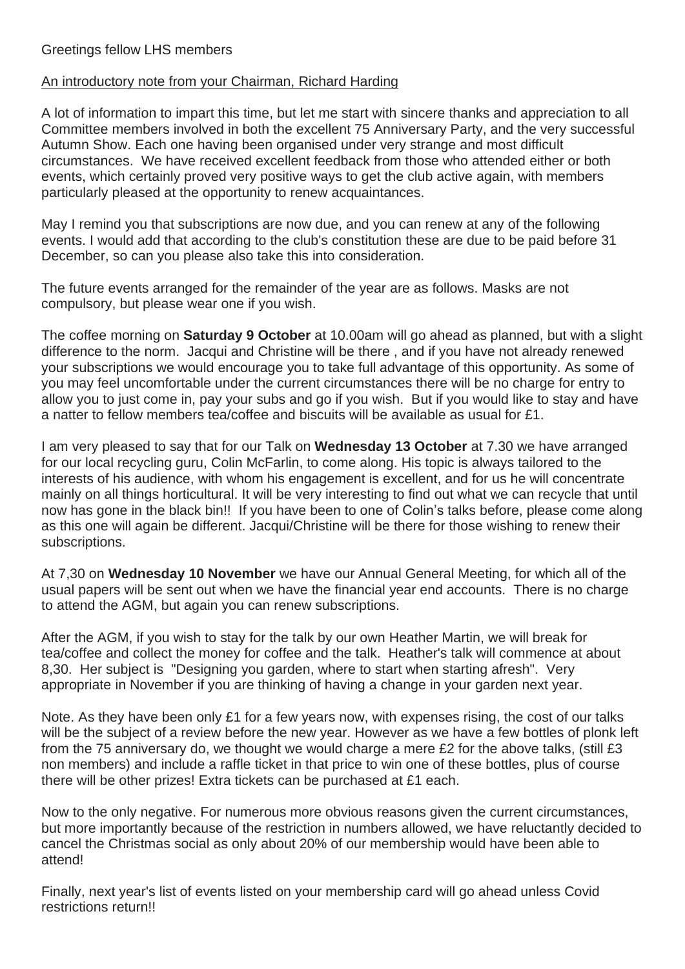# An introductory note from your Chairman, Richard Harding

A lot of information to impart this time, but let me start with sincere thanks and appreciation to all Committee members involved in both the excellent 75 Anniversary Party, and the very successful Autumn Show. Each one having been organised under very strange and most difficult circumstances. We have received excellent feedback from those who attended either or both events, which certainly proved very positive ways to get the club active again, with members particularly pleased at the opportunity to renew acquaintances.

May I remind you that subscriptions are now due, and you can renew at any of the following events. I would add that according to the club's constitution these are due to be paid before 31 December, so can you please also take this into consideration.

The future events arranged for the remainder of the year are as follows. Masks are not compulsory, but please wear one if you wish.

The coffee morning on **Saturday 9 October** at 10.00am will go ahead as planned, but with a slight difference to the norm. Jacqui and Christine will be there , and if you have not already renewed your subscriptions we would encourage you to take full advantage of this opportunity. As some of you may feel uncomfortable under the current circumstances there will be no charge for entry to allow you to just come in, pay your subs and go if you wish. But if you would like to stay and have a natter to fellow members tea/coffee and biscuits will be available as usual for £1.

I am very pleased to say that for our Talk on **Wednesday 13 October** at 7.30 we have arranged for our local recycling guru, Colin McFarlin, to come along. His topic is always tailored to the interests of his audience, with whom his engagement is excellent, and for us he will concentrate mainly on all things horticultural. It will be very interesting to find out what we can recycle that until now has gone in the black bin!! If you have been to one of Colin's talks before, please come along as this one will again be different. Jacqui/Christine will be there for those wishing to renew their subscriptions.

At 7,30 on **Wednesday 10 November** we have our Annual General Meeting, for which all of the usual papers will be sent out when we have the financial year end accounts. There is no charge to attend the AGM, but again you can renew subscriptions.

After the AGM, if you wish to stay for the talk by our own Heather Martin, we will break for tea/coffee and collect the money for coffee and the talk. Heather's talk will commence at about 8,30. Her subject is "Designing you garden, where to start when starting afresh". Very appropriate in November if you are thinking of having a change in your garden next year.

Note. As they have been only £1 for a few years now, with expenses rising, the cost of our talks will be the subject of a review before the new year. However as we have a few bottles of plonk left from the 75 anniversary do, we thought we would charge a mere £2 for the above talks, (still £3 non members) and include a raffle ticket in that price to win one of these bottles, plus of course there will be other prizes! Extra tickets can be purchased at £1 each.

Now to the only negative. For numerous more obvious reasons given the current circumstances, but more importantly because of the restriction in numbers allowed, we have reluctantly decided to cancel the Christmas social as only about 20% of our membership would have been able to attend!

Finally, next year's list of events listed on your membership card will go ahead unless Covid restrictions return!!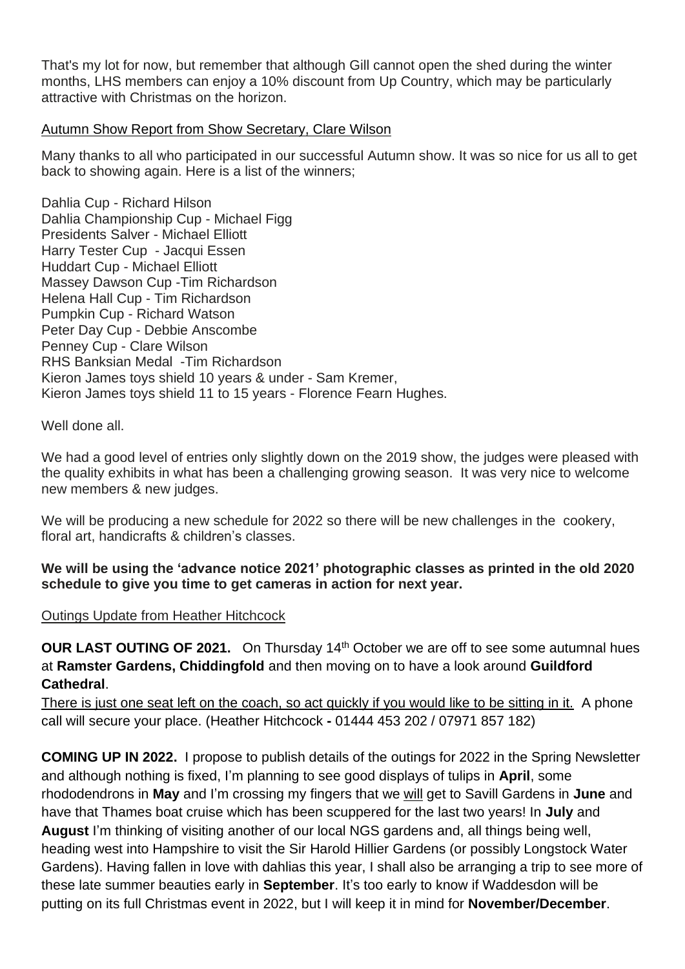That's my lot for now, but remember that although Gill cannot open the shed during the winter months, LHS members can enjoy a 10% discount from Up Country, which may be particularly attractive with Christmas on the horizon.

#### Autumn Show Report from Show Secretary, Clare Wilson

Many thanks to all who participated in our successful Autumn show. It was so nice for us all to get back to showing again. Here is a list of the winners;

Dahlia Cup - Richard Hilson Dahlia Championship Cup - Michael Figg Presidents Salver - Michael Elliott Harry Tester Cup - Jacqui Essen Huddart Cup - Michael Elliott Massey Dawson Cup -Tim Richardson Helena Hall Cup - Tim Richardson Pumpkin Cup - Richard Watson Peter Day Cup - Debbie Anscombe Penney Cup - Clare Wilson RHS Banksian Medal -Tim Richardson Kieron James toys shield 10 years & under - Sam Kremer, Kieron James toys shield 11 to 15 years - Florence Fearn Hughes.

Well done all.

We had a good level of entries only slightly down on the 2019 show, the judges were pleased with the quality exhibits in what has been a challenging growing season. It was very nice to welcome new members & new judges.

We will be producing a new schedule for 2022 so there will be new challenges in the cookery, floral art, handicrafts & children's classes.

# **We will be using the 'advance notice 2021' photographic classes as printed in the old 2020 schedule to give you time to get cameras in action for next year.**

Outings Update from Heather Hitchcock

**OUR LAST OUTING OF 2021.** On Thursday 14<sup>th</sup> October we are off to see some autumnal hues at **Ramster Gardens, Chiddingfold** and then moving on to have a look around **Guildford Cathedral**.

There is just one seat left on the coach, so act quickly if you would like to be sitting in it. A phone call will secure your place. (Heather Hitchcock **-** 01444 453 202 / 07971 857 182)

**COMING UP IN 2022.** I propose to publish details of the outings for 2022 in the Spring Newsletter and although nothing is fixed, I'm planning to see good displays of tulips in **April**, some rhododendrons in **May** and I'm crossing my fingers that we will get to Savill Gardens in **June** and have that Thames boat cruise which has been scuppered for the last two years! In **July** and **August** I'm thinking of visiting another of our local NGS gardens and, all things being well, heading west into Hampshire to visit the Sir Harold Hillier Gardens (or possibly Longstock Water Gardens). Having fallen in love with dahlias this year, I shall also be arranging a trip to see more of these late summer beauties early in **September**. It's too early to know if Waddesdon will be putting on its full Christmas event in 2022, but I will keep it in mind for **November/December**.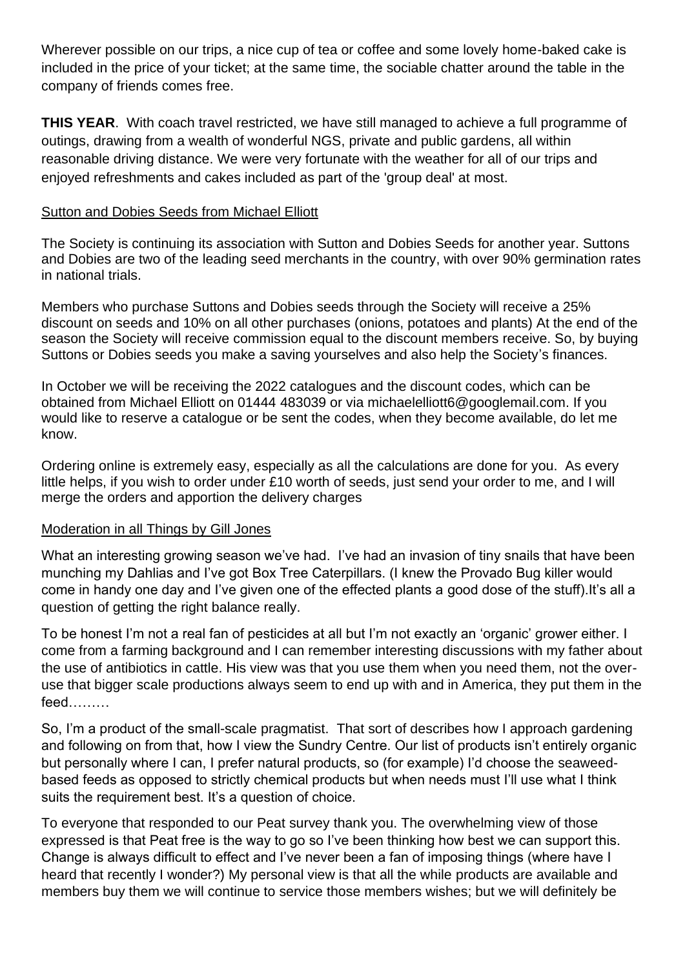Wherever possible on our trips, a nice cup of tea or coffee and some lovely home-baked cake is included in the price of your ticket; at the same time, the sociable chatter around the table in the company of friends comes free.

**THIS YEAR**. With coach travel restricted, we have still managed to achieve a full programme of outings, drawing from a wealth of wonderful NGS, private and public gardens, all within reasonable driving distance. We were very fortunate with the weather for all of our trips and enjoyed refreshments and cakes included as part of the 'group deal' at most.

### Sutton and Dobies Seeds from Michael Elliott

The Society is continuing its association with Sutton and Dobies Seeds for another year. Suttons and Dobies are two of the leading seed merchants in the country, with over 90% germination rates in national trials.

Members who purchase Suttons and Dobies seeds through the Society will receive a 25% discount on seeds and 10% on all other purchases (onions, potatoes and plants) At the end of the season the Society will receive commission equal to the discount members receive. So, by buying Suttons or Dobies seeds you make a saving yourselves and also help the Society's finances.

In October we will be receiving the 2022 catalogues and the discount codes, which can be obtained from Michael Elliott on 01444 483039 or via michaelelliott6@googlemail.com. If you would like to reserve a catalogue or be sent the codes, when they become available, do let me know.

Ordering online is extremely easy, especially as all the calculations are done for you. As every little helps, if you wish to order under £10 worth of seeds, just send your order to me, and I will merge the orders and apportion the delivery charges

#### Moderation in all Things by Gill Jones

What an interesting growing season we've had. I've had an invasion of tiny snails that have been munching my Dahlias and I've got Box Tree Caterpillars. (I knew the Provado Bug killer would come in handy one day and I've given one of the effected plants a good dose of the stuff).It's all a question of getting the right balance really.

To be honest I'm not a real fan of pesticides at all but I'm not exactly an 'organic' grower either. I come from a farming background and I can remember interesting discussions with my father about the use of antibiotics in cattle. His view was that you use them when you need them, not the overuse that bigger scale productions always seem to end up with and in America, they put them in the feed………

So, I'm a product of the small-scale pragmatist. That sort of describes how I approach gardening and following on from that, how I view the Sundry Centre. Our list of products isn't entirely organic but personally where I can, I prefer natural products, so (for example) I'd choose the seaweedbased feeds as opposed to strictly chemical products but when needs must I'll use what I think suits the requirement best. It's a question of choice.

To everyone that responded to our Peat survey thank you. The overwhelming view of those expressed is that Peat free is the way to go so I've been thinking how best we can support this. Change is always difficult to effect and I've never been a fan of imposing things (where have I heard that recently I wonder?) My personal view is that all the while products are available and members buy them we will continue to service those members wishes; but we will definitely be